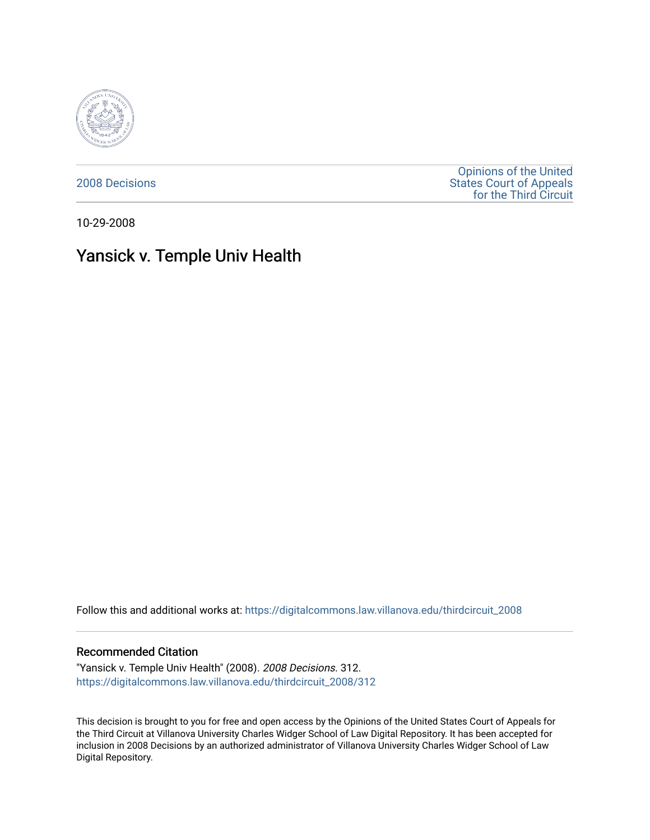

[2008 Decisions](https://digitalcommons.law.villanova.edu/thirdcircuit_2008)

[Opinions of the United](https://digitalcommons.law.villanova.edu/thirdcircuit)  [States Court of Appeals](https://digitalcommons.law.villanova.edu/thirdcircuit)  [for the Third Circuit](https://digitalcommons.law.villanova.edu/thirdcircuit) 

10-29-2008

# Yansick v. Temple Univ Health

Follow this and additional works at: [https://digitalcommons.law.villanova.edu/thirdcircuit\\_2008](https://digitalcommons.law.villanova.edu/thirdcircuit_2008?utm_source=digitalcommons.law.villanova.edu%2Fthirdcircuit_2008%2F312&utm_medium=PDF&utm_campaign=PDFCoverPages) 

### Recommended Citation

"Yansick v. Temple Univ Health" (2008). 2008 Decisions. 312. [https://digitalcommons.law.villanova.edu/thirdcircuit\\_2008/312](https://digitalcommons.law.villanova.edu/thirdcircuit_2008/312?utm_source=digitalcommons.law.villanova.edu%2Fthirdcircuit_2008%2F312&utm_medium=PDF&utm_campaign=PDFCoverPages)

This decision is brought to you for free and open access by the Opinions of the United States Court of Appeals for the Third Circuit at Villanova University Charles Widger School of Law Digital Repository. It has been accepted for inclusion in 2008 Decisions by an authorized administrator of Villanova University Charles Widger School of Law Digital Repository.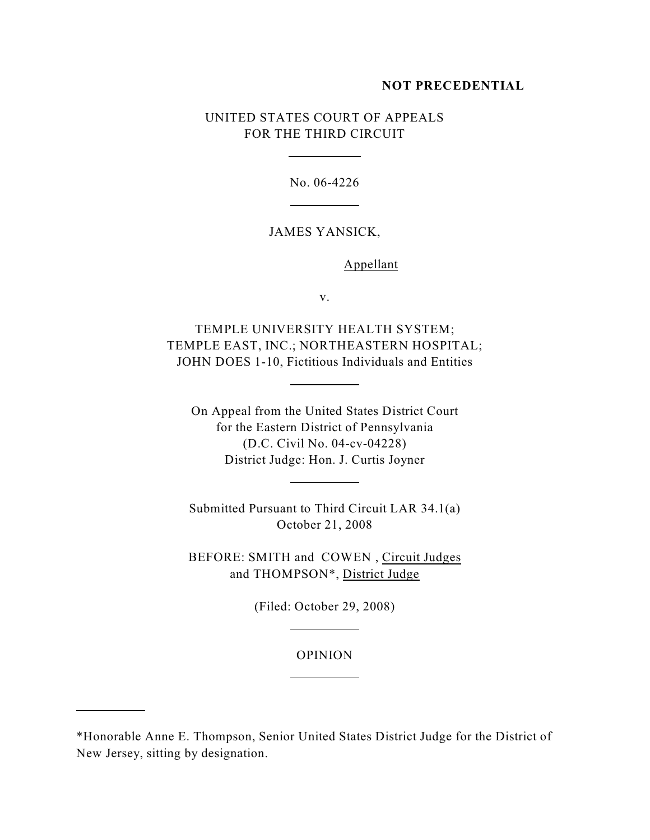#### **NOT PRECEDENTIAL**

# UNITED STATES COURT OF APPEALS FOR THE THIRD CIRCUIT

 $\overline{a}$ 

 $\overline{a}$ 

 $\overline{a}$ 

 $\overline{a}$ 

 $\overline{a}$ 

 $\overline{a}$ 

 $\overline{a}$ 

No. 06-4226

## JAMES YANSICK,

Appellant

v.

TEMPLE UNIVERSITY HEALTH SYSTEM; TEMPLE EAST, INC.; NORTHEASTERN HOSPITAL; JOHN DOES 1-10, Fictitious Individuals and Entities

On Appeal from the United States District Court for the Eastern District of Pennsylvania (D.C. Civil No. 04-cv-04228) District Judge: Hon. J. Curtis Joyner

Submitted Pursuant to Third Circuit LAR 34.1(a) October 21, 2008

BEFORE: SMITH and COWEN , Circuit Judges and THOMPSON\*, District Judge

(Filed: October 29, 2008)

#### OPINION

<sup>\*</sup>Honorable Anne E. Thompson, Senior United States District Judge for the District of New Jersey, sitting by designation.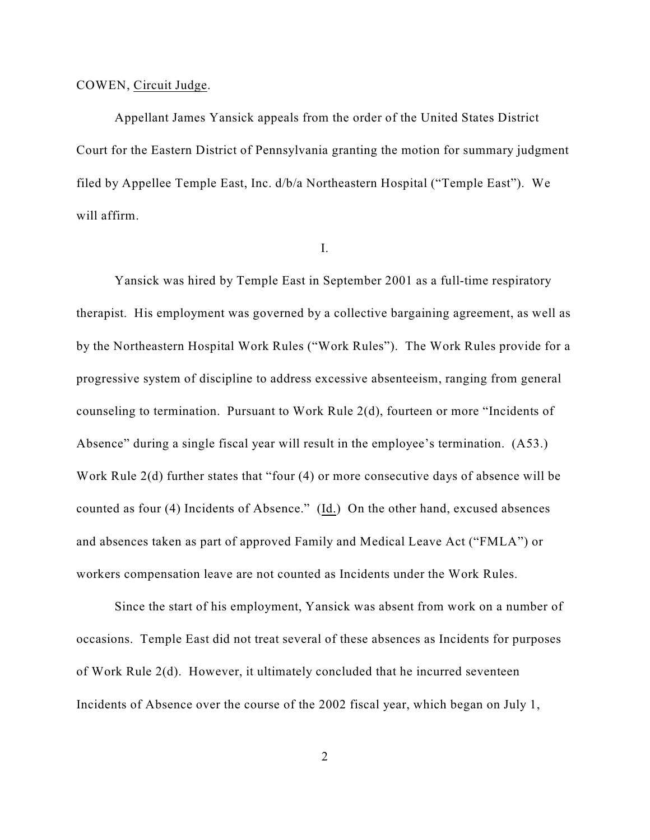### COWEN, Circuit Judge.

Appellant James Yansick appeals from the order of the United States District Court for the Eastern District of Pennsylvania granting the motion for summary judgment filed by Appellee Temple East, Inc. d/b/a Northeastern Hospital ("Temple East"). We will affirm.

I.

Yansick was hired by Temple East in September 2001 as a full-time respiratory therapist. His employment was governed by a collective bargaining agreement, as well as by the Northeastern Hospital Work Rules ("Work Rules"). The Work Rules provide for a progressive system of discipline to address excessive absenteeism, ranging from general counseling to termination. Pursuant to Work Rule 2(d), fourteen or more "Incidents of Absence" during a single fiscal year will result in the employee's termination. (A53.) Work Rule 2(d) further states that "four (4) or more consecutive days of absence will be counted as four (4) Incidents of Absence." (Id.) On the other hand, excused absences and absences taken as part of approved Family and Medical Leave Act ("FMLA") or workers compensation leave are not counted as Incidents under the Work Rules.

Since the start of his employment, Yansick was absent from work on a number of occasions. Temple East did not treat several of these absences as Incidents for purposes of Work Rule 2(d). However, it ultimately concluded that he incurred seventeen Incidents of Absence over the course of the 2002 fiscal year, which began on July 1,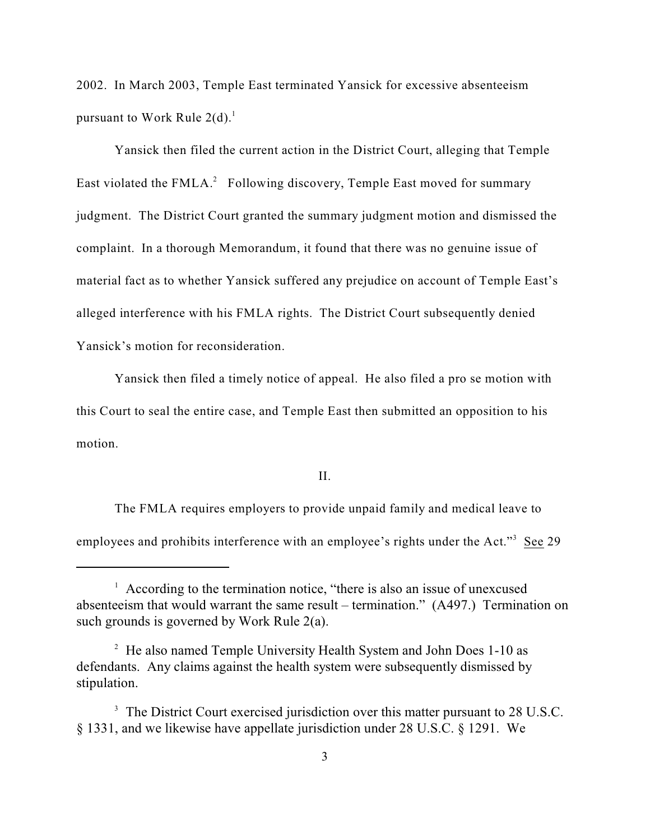2002. In March 2003, Temple East terminated Yansick for excessive absenteeism pursuant to Work Rule  $2(d)$ .<sup>1</sup>

Yansick then filed the current action in the District Court, alleging that Temple East violated the  $FMLA<sup>2</sup>$  Following discovery, Temple East moved for summary judgment. The District Court granted the summary judgment motion and dismissed the complaint. In a thorough Memorandum, it found that there was no genuine issue of material fact as to whether Yansick suffered any prejudice on account of Temple East's alleged interference with his FMLA rights. The District Court subsequently denied Yansick's motion for reconsideration.

Yansick then filed a timely notice of appeal. He also filed a pro se motion with this Court to seal the entire case, and Temple East then submitted an opposition to his motion.

II.

The FMLA requires employers to provide unpaid family and medical leave to employees and prohibits interference with an employee's rights under the Act."<sup>3</sup> See 29

 $\frac{1}{1}$  According to the termination notice, "there is also an issue of unexcused absenteeism that would warrant the same result – termination." (A497.) Termination on such grounds is governed by Work Rule 2(a).

 $^2$  He also named Temple University Health System and John Does 1-10 as defendants. Any claims against the health system were subsequently dismissed by stipulation.

<sup>&</sup>lt;sup>3</sup> The District Court exercised jurisdiction over this matter pursuant to 28 U.S.C. § 1331, and we likewise have appellate jurisdiction under 28 U.S.C. § 1291. We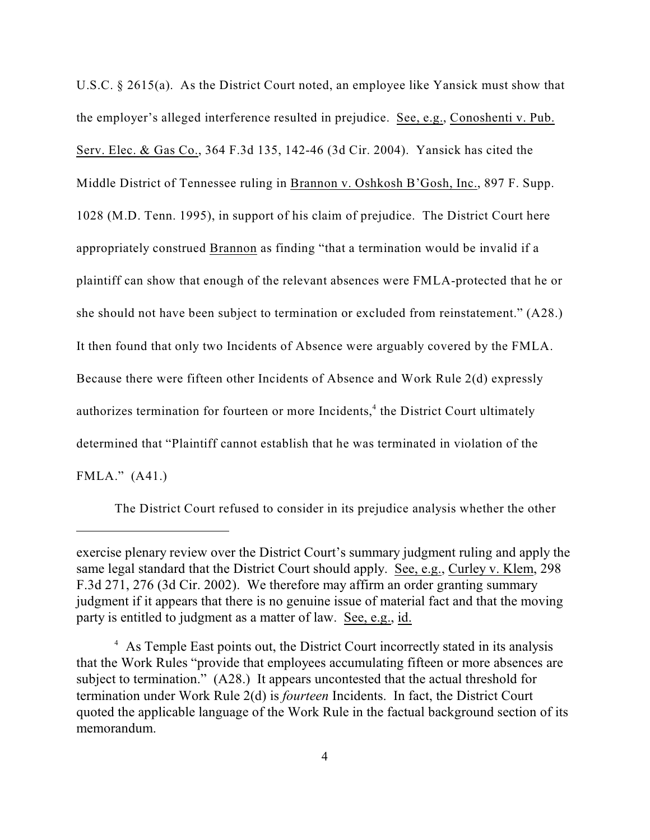U.S.C. § 2615(a). As the District Court noted, an employee like Yansick must show that the employer's alleged interference resulted in prejudice. See, e.g., Conoshenti v. Pub. Serv. Elec. & Gas Co., 364 F.3d 135, 142-46 (3d Cir. 2004). Yansick has cited the Middle District of Tennessee ruling in Brannon v. Oshkosh B'Gosh, Inc., 897 F. Supp. 1028 (M.D. Tenn. 1995), in support of his claim of prejudice. The District Court here appropriately construed Brannon as finding "that a termination would be invalid if a plaintiff can show that enough of the relevant absences were FMLA-protected that he or she should not have been subject to termination or excluded from reinstatement." (A28.) It then found that only two Incidents of Absence were arguably covered by the FMLA. Because there were fifteen other Incidents of Absence and Work Rule 2(d) expressly authorizes termination for fourteen or more Incidents, $4$  the District Court ultimately determined that "Plaintiff cannot establish that he was terminated in violation of the FMLA." (A41.)

The District Court refused to consider in its prejudice analysis whether the other

exercise plenary review over the District Court's summary judgment ruling and apply the same legal standard that the District Court should apply. See, e.g., Curley v. Klem, 298 F.3d 271, 276 (3d Cir. 2002). We therefore may affirm an order granting summary judgment if it appears that there is no genuine issue of material fact and that the moving party is entitled to judgment as a matter of law. See, e.g., id.

<sup>&</sup>lt;sup>4</sup> As Temple East points out, the District Court incorrectly stated in its analysis that the Work Rules "provide that employees accumulating fifteen or more absences are subject to termination." (A28.) It appears uncontested that the actual threshold for termination under Work Rule 2(d) is *fourteen* Incidents. In fact, the District Court quoted the applicable language of the Work Rule in the factual background section of its memorandum.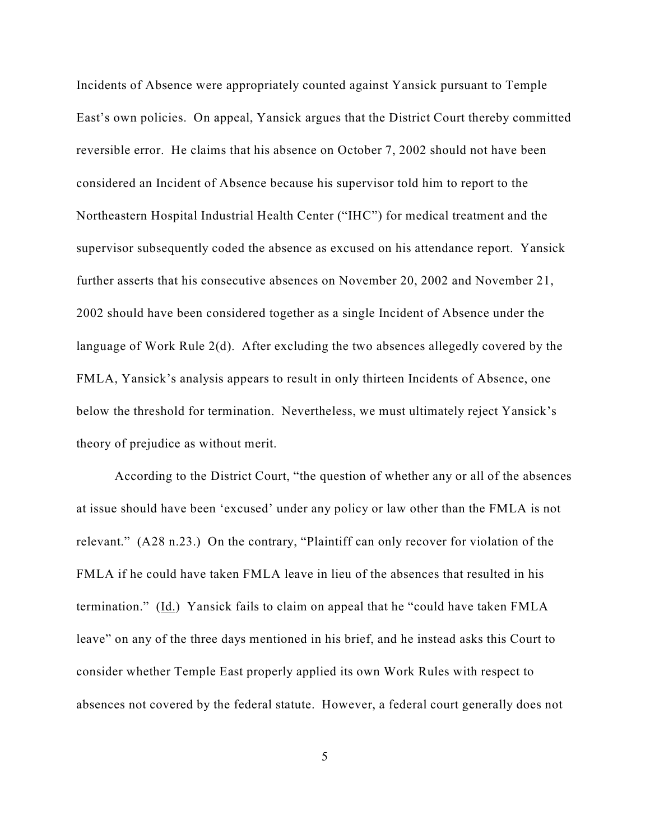Incidents of Absence were appropriately counted against Yansick pursuant to Temple East's own policies. On appeal, Yansick argues that the District Court thereby committed reversible error. He claims that his absence on October 7, 2002 should not have been considered an Incident of Absence because his supervisor told him to report to the Northeastern Hospital Industrial Health Center ("IHC") for medical treatment and the supervisor subsequently coded the absence as excused on his attendance report. Yansick further asserts that his consecutive absences on November 20, 2002 and November 21, 2002 should have been considered together as a single Incident of Absence under the language of Work Rule 2(d). After excluding the two absences allegedly covered by the FMLA, Yansick's analysis appears to result in only thirteen Incidents of Absence, one below the threshold for termination. Nevertheless, we must ultimately reject Yansick's theory of prejudice as without merit.

According to the District Court, "the question of whether any or all of the absences at issue should have been 'excused' under any policy or law other than the FMLA is not relevant." (A28 n.23.) On the contrary, "Plaintiff can only recover for violation of the FMLA if he could have taken FMLA leave in lieu of the absences that resulted in his termination." (Id.) Yansick fails to claim on appeal that he "could have taken FMLA leave" on any of the three days mentioned in his brief, and he instead asks this Court to consider whether Temple East properly applied its own Work Rules with respect to absences not covered by the federal statute. However, a federal court generally does not

5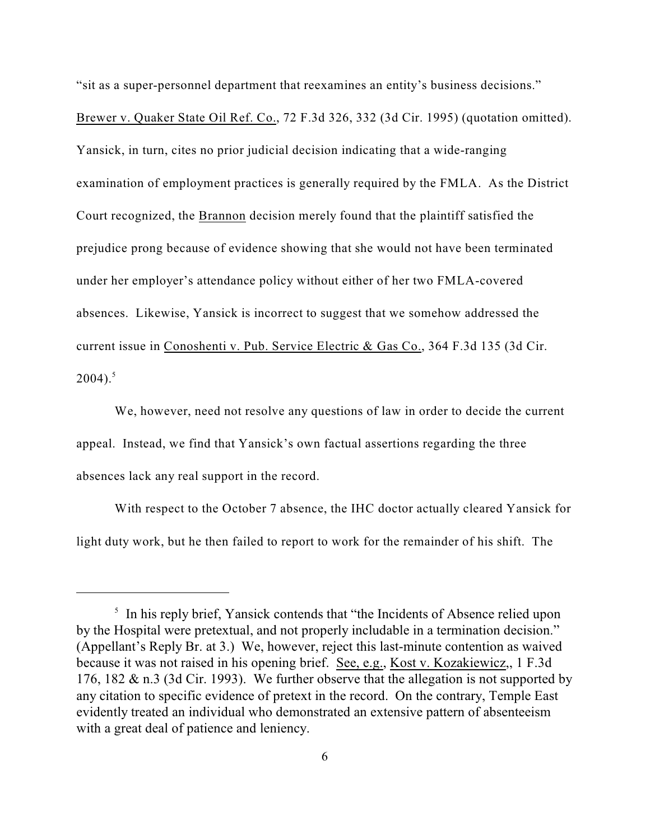"sit as a super-personnel department that reexamines an entity's business decisions." Brewer v. Quaker State Oil Ref. Co., 72 F.3d 326, 332 (3d Cir. 1995) (quotation omitted). Yansick, in turn, cites no prior judicial decision indicating that a wide-ranging examination of employment practices is generally required by the FMLA. As the District Court recognized, the Brannon decision merely found that the plaintiff satisfied the prejudice prong because of evidence showing that she would not have been terminated under her employer's attendance policy without either of her two FMLA-covered absences. Likewise, Yansick is incorrect to suggest that we somehow addressed the current issue in Conoshenti v. Pub. Service Electric & Gas Co., 364 F.3d 135 (3d Cir.  $2004$ ).<sup>5</sup>

We, however, need not resolve any questions of law in order to decide the current appeal. Instead, we find that Yansick's own factual assertions regarding the three absences lack any real support in the record.

 With respect to the October 7 absence, the IHC doctor actually cleared Yansick for light duty work, but he then failed to report to work for the remainder of his shift. The

 $\frac{1}{2}$  In his reply brief, Yansick contends that "the Incidents of Absence relied upon by the Hospital were pretextual, and not properly includable in a termination decision." (Appellant's Reply Br. at 3.) We, however, reject this last-minute contention as waived because it was not raised in his opening brief. See, e.g., Kost v. Kozakiewicz,, 1 F.3d 176, 182 & n.3 (3d Cir. 1993). We further observe that the allegation is not supported by any citation to specific evidence of pretext in the record. On the contrary, Temple East evidently treated an individual who demonstrated an extensive pattern of absenteeism with a great deal of patience and leniency.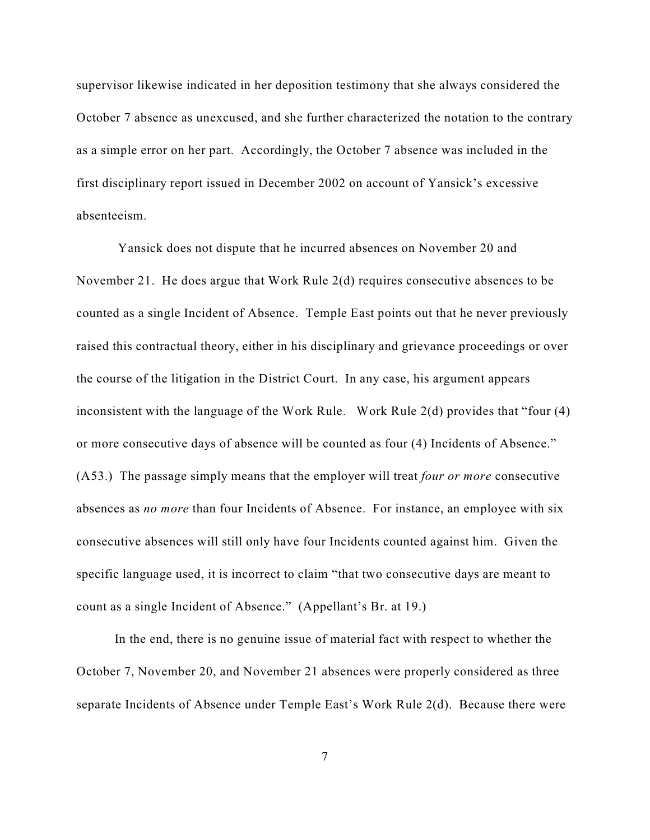supervisor likewise indicated in her deposition testimony that she always considered the October 7 absence as unexcused, and she further characterized the notation to the contrary as a simple error on her part. Accordingly, the October 7 absence was included in the first disciplinary report issued in December 2002 on account of Yansick's excessive absenteeism.

 Yansick does not dispute that he incurred absences on November 20 and November 21. He does argue that Work Rule 2(d) requires consecutive absences to be counted as a single Incident of Absence. Temple East points out that he never previously raised this contractual theory, either in his disciplinary and grievance proceedings or over the course of the litigation in the District Court. In any case, his argument appears inconsistent with the language of the Work Rule. Work Rule 2(d) provides that "four (4) or more consecutive days of absence will be counted as four (4) Incidents of Absence." (A53.) The passage simply means that the employer will treat *four or more* consecutive absences as *no more* than four Incidents of Absence. For instance, an employee with six consecutive absences will still only have four Incidents counted against him. Given the specific language used, it is incorrect to claim "that two consecutive days are meant to count as a single Incident of Absence." (Appellant's Br. at 19.)

In the end, there is no genuine issue of material fact with respect to whether the October 7, November 20, and November 21 absences were properly considered as three separate Incidents of Absence under Temple East's Work Rule 2(d). Because there were